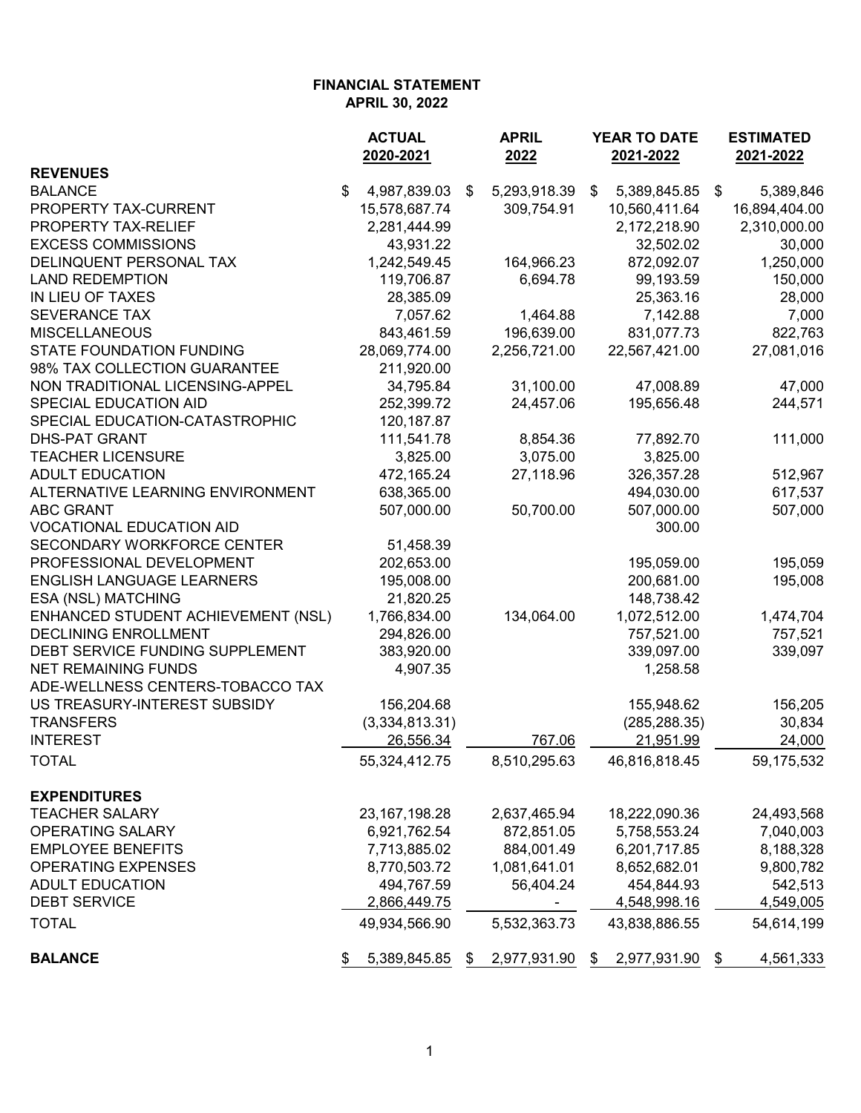|                                    | <b>ACTUAL</b><br>2020-2021 | <b>APRIL</b><br>2022 | YEAR TO DATE<br>2021-2022 | <b>ESTIMATED</b><br>2021-2022 |               |
|------------------------------------|----------------------------|----------------------|---------------------------|-------------------------------|---------------|
| <b>REVENUES</b>                    |                            |                      |                           |                               |               |
| <b>BALANCE</b>                     | \$<br>4,987,839.03         | \$<br>5,293,918.39   | \$<br>5,389,845.85 \$     |                               | 5,389,846     |
| PROPERTY TAX-CURRENT               | 15,578,687.74              | 309,754.91           | 10,560,411.64             |                               | 16,894,404.00 |
| PROPERTY TAX-RELIEF                | 2,281,444.99               |                      | 2,172,218.90              |                               | 2,310,000.00  |
| <b>EXCESS COMMISSIONS</b>          | 43,931.22                  |                      | 32,502.02                 |                               | 30,000        |
| DELINQUENT PERSONAL TAX            | 1,242,549.45               | 164,966.23           | 872,092.07                |                               | 1,250,000     |
| <b>LAND REDEMPTION</b>             | 119,706.87                 | 6,694.78             | 99,193.59                 |                               | 150,000       |
| IN LIEU OF TAXES                   | 28,385.09                  |                      | 25,363.16                 |                               | 28,000        |
| SEVERANCE TAX                      | 7,057.62                   | 1,464.88             | 7,142.88                  |                               | 7,000         |
| <b>MISCELLANEOUS</b>               | 843,461.59                 | 196,639.00           | 831,077.73                |                               | 822,763       |
| <b>STATE FOUNDATION FUNDING</b>    | 28,069,774.00              | 2,256,721.00         | 22,567,421.00             |                               | 27,081,016    |
| 98% TAX COLLECTION GUARANTEE       | 211,920.00                 |                      |                           |                               |               |
| NON TRADITIONAL LICENSING-APPEL    | 34,795.84                  | 31,100.00            | 47,008.89                 |                               | 47,000        |
| SPECIAL EDUCATION AID              | 252,399.72                 | 24,457.06            | 195,656.48                |                               | 244,571       |
| SPECIAL EDUCATION-CATASTROPHIC     | 120, 187.87                |                      |                           |                               |               |
| <b>DHS-PAT GRANT</b>               | 111,541.78                 | 8,854.36             | 77,892.70                 |                               | 111,000       |
| <b>TEACHER LICENSURE</b>           | 3,825.00                   | 3,075.00             | 3,825.00                  |                               |               |
| <b>ADULT EDUCATION</b>             | 472,165.24                 | 27,118.96            | 326, 357. 28              |                               | 512,967       |
| ALTERNATIVE LEARNING ENVIRONMENT   | 638,365.00                 |                      | 494,030.00                |                               | 617,537       |
| <b>ABC GRANT</b>                   | 507,000.00                 | 50,700.00            | 507,000.00                |                               | 507,000       |
| <b>VOCATIONAL EDUCATION AID</b>    |                            |                      | 300.00                    |                               |               |
| SECONDARY WORKFORCE CENTER         | 51,458.39                  |                      |                           |                               |               |
| PROFESSIONAL DEVELOPMENT           | 202,653.00                 |                      | 195,059.00                |                               | 195,059       |
| <b>ENGLISH LANGUAGE LEARNERS</b>   | 195,008.00                 |                      | 200,681.00                |                               | 195,008       |
| ESA (NSL) MATCHING                 | 21,820.25                  |                      | 148,738.42                |                               |               |
| ENHANCED STUDENT ACHIEVEMENT (NSL) | 1,766,834.00               | 134,064.00           | 1,072,512.00              |                               | 1,474,704     |
| DECLINING ENROLLMENT               | 294,826.00                 |                      | 757,521.00                |                               | 757,521       |
| DEBT SERVICE FUNDING SUPPLEMENT    | 383,920.00                 |                      | 339,097.00                |                               | 339,097       |
|                                    |                            |                      |                           |                               |               |
| <b>NET REMAINING FUNDS</b>         | 4,907.35                   |                      | 1,258.58                  |                               |               |
| ADE-WELLNESS CENTERS-TOBACCO TAX   |                            |                      |                           |                               |               |
| US TREASURY-INTEREST SUBSIDY       | 156,204.68                 |                      | 155,948.62                |                               | 156,205       |
| <b>TRANSFERS</b>                   | (3,334,813.31)             |                      | (285, 288.35)             |                               | 30,834        |
| <b>INTEREST</b>                    | 26,556.34                  | 767.06               | 21,951.99                 |                               | 24,000        |
| <b>TOTAL</b>                       | 55,324,412.75              | 8,510,295.63         | 46,816,818.45             |                               | 59,175,532    |
| <b>EXPENDITURES</b>                |                            |                      |                           |                               |               |
| <b>TEACHER SALARY</b>              | 23, 167, 198. 28           | 2,637,465.94         | 18,222,090.36             |                               | 24,493,568    |
| <b>OPERATING SALARY</b>            | 6,921,762.54               | 872,851.05           | 5,758,553.24              |                               | 7,040,003     |
| <b>EMPLOYEE BENEFITS</b>           | 7,713,885.02               | 884,001.49           | 6,201,717.85              |                               | 8,188,328     |
| <b>OPERATING EXPENSES</b>          | 8,770,503.72               | 1,081,641.01         | 8,652,682.01              |                               | 9,800,782     |
| <b>ADULT EDUCATION</b>             | 494,767.59                 | 56,404.24            | 454,844.93                |                               | 542,513       |
| <b>DEBT SERVICE</b>                | 2,866,449.75               |                      | 4,548,998.16              |                               | 4,549,005     |
| <b>TOTAL</b>                       | 49,934,566.90              | 5,532,363.73         | 43,838,886.55             |                               | 54,614,199    |
| <b>BALANCE</b>                     | 5,389,845.85               | \$<br>2,977,931.90   | 2,977,931.90 \$<br>\$     |                               | 4,561,333     |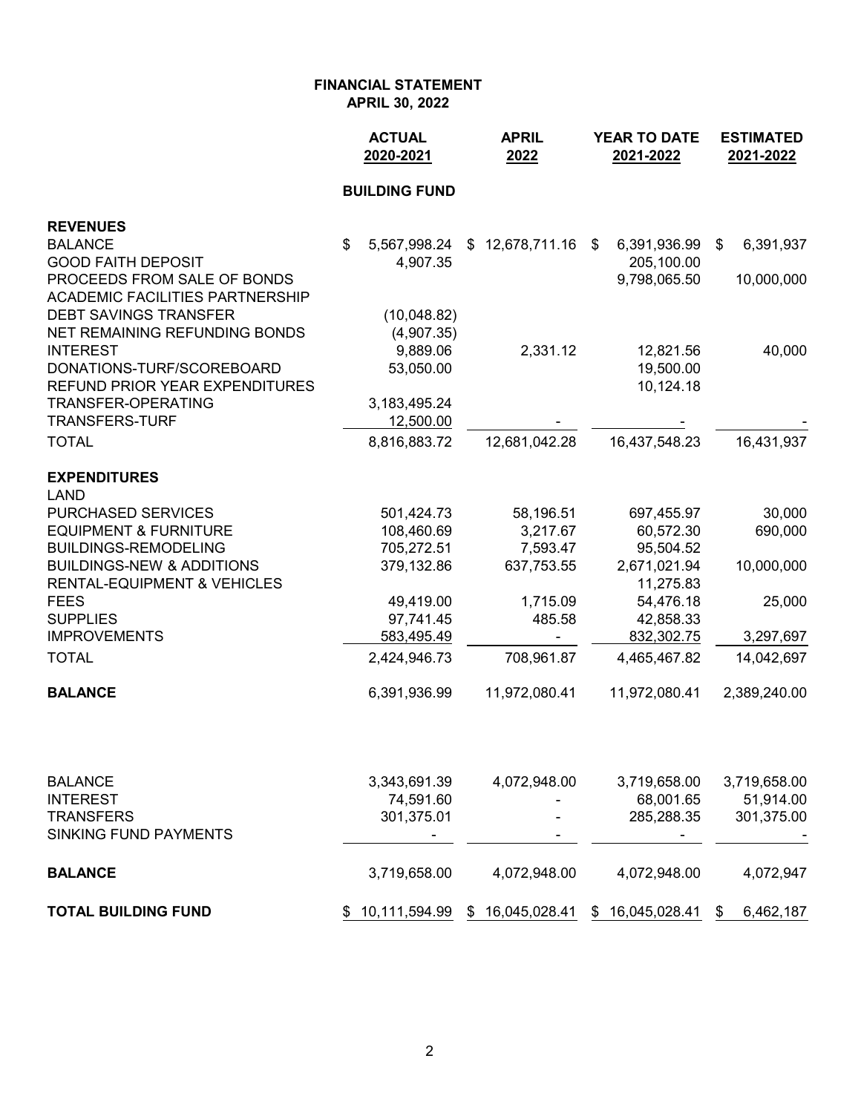|                                                                     | <b>ACTUAL</b><br>2020-2021 | <b>APRIL</b><br>2022 | <b>YEAR TO DATE</b><br>2021-2022 | <b>ESTIMATED</b><br>2021-2022 |  |
|---------------------------------------------------------------------|----------------------------|----------------------|----------------------------------|-------------------------------|--|
|                                                                     | <b>BUILDING FUND</b>       |                      |                                  |                               |  |
| <b>REVENUES</b>                                                     |                            |                      |                                  |                               |  |
| <b>BALANCE</b>                                                      | \$<br>5,567,998.24         | \$12,678,711.16      | 6,391,936.99<br>\$               | 6,391,937<br>\$               |  |
| <b>GOOD FAITH DEPOSIT</b><br>PROCEEDS FROM SALE OF BONDS            | 4,907.35                   |                      | 205,100.00<br>9,798,065.50       | 10,000,000                    |  |
| <b>ACADEMIC FACILITIES PARTNERSHIP</b>                              |                            |                      |                                  |                               |  |
| <b>DEBT SAVINGS TRANSFER</b>                                        | (10,048.82)                |                      |                                  |                               |  |
| NET REMAINING REFUNDING BONDS                                       | (4,907.35)                 |                      |                                  |                               |  |
| <b>INTEREST</b>                                                     | 9,889.06                   | 2,331.12             | 12,821.56                        | 40,000                        |  |
| DONATIONS-TURF/SCOREBOARD                                           | 53,050.00                  |                      | 19,500.00                        |                               |  |
| REFUND PRIOR YEAR EXPENDITURES                                      |                            |                      | 10,124.18                        |                               |  |
| <b>TRANSFER-OPERATING</b>                                           | 3,183,495.24               |                      |                                  |                               |  |
| <b>TRANSFERS-TURF</b>                                               | 12,500.00                  |                      |                                  |                               |  |
| <b>TOTAL</b>                                                        | 8,816,883.72               | 12,681,042.28        | 16,437,548.23                    | 16,431,937                    |  |
| <b>EXPENDITURES</b>                                                 |                            |                      |                                  |                               |  |
| <b>LAND</b>                                                         |                            |                      |                                  |                               |  |
| PURCHASED SERVICES                                                  | 501,424.73                 | 58,196.51            | 697,455.97                       | 30,000                        |  |
| <b>EQUIPMENT &amp; FURNITURE</b>                                    | 108,460.69                 | 3,217.67             | 60,572.30                        | 690,000                       |  |
| <b>BUILDINGS-REMODELING</b><br><b>BUILDINGS-NEW &amp; ADDITIONS</b> | 705,272.51                 | 7,593.47             | 95,504.52                        |                               |  |
| <b>RENTAL-EQUIPMENT &amp; VEHICLES</b>                              | 379,132.86                 | 637,753.55           | 2,671,021.94<br>11,275.83        | 10,000,000                    |  |
| <b>FEES</b>                                                         | 49,419.00                  | 1,715.09             | 54,476.18                        | 25,000                        |  |
| <b>SUPPLIES</b>                                                     | 97,741.45                  | 485.58               | 42,858.33                        |                               |  |
| <b>IMPROVEMENTS</b>                                                 | 583,495.49                 |                      | 832,302.75                       | 3,297,697                     |  |
| <b>TOTAL</b>                                                        | 2,424,946.73               | 708,961.87           | 4,465,467.82                     | 14,042,697                    |  |
| <b>BALANCE</b>                                                      | 6,391,936.99               | 11,972,080.41        | 11,972,080.41                    | 2,389,240.00                  |  |
|                                                                     |                            |                      |                                  |                               |  |
|                                                                     |                            |                      |                                  |                               |  |
| <b>BALANCE</b>                                                      | 3,343,691.39               | 4,072,948.00         | 3,719,658.00                     | 3,719,658.00                  |  |
| <b>INTEREST</b>                                                     | 74,591.60                  |                      | 68,001.65                        | 51,914.00                     |  |
| <b>TRANSFERS</b><br><b>SINKING FUND PAYMENTS</b>                    | 301,375.01                 |                      | 285,288.35                       | 301,375.00                    |  |
|                                                                     |                            |                      |                                  |                               |  |
| <b>BALANCE</b>                                                      | 3,719,658.00               | 4,072,948.00         | 4,072,948.00                     | 4,072,947                     |  |

**TOTAL BUILDING FUND**  $\frac{$10,111,594.99}{$10,111,594.99}$   $\frac{$16,045,028.41}{$16,045,028.41}$   $\frac{$16,045,028.41}{$6,462,187}$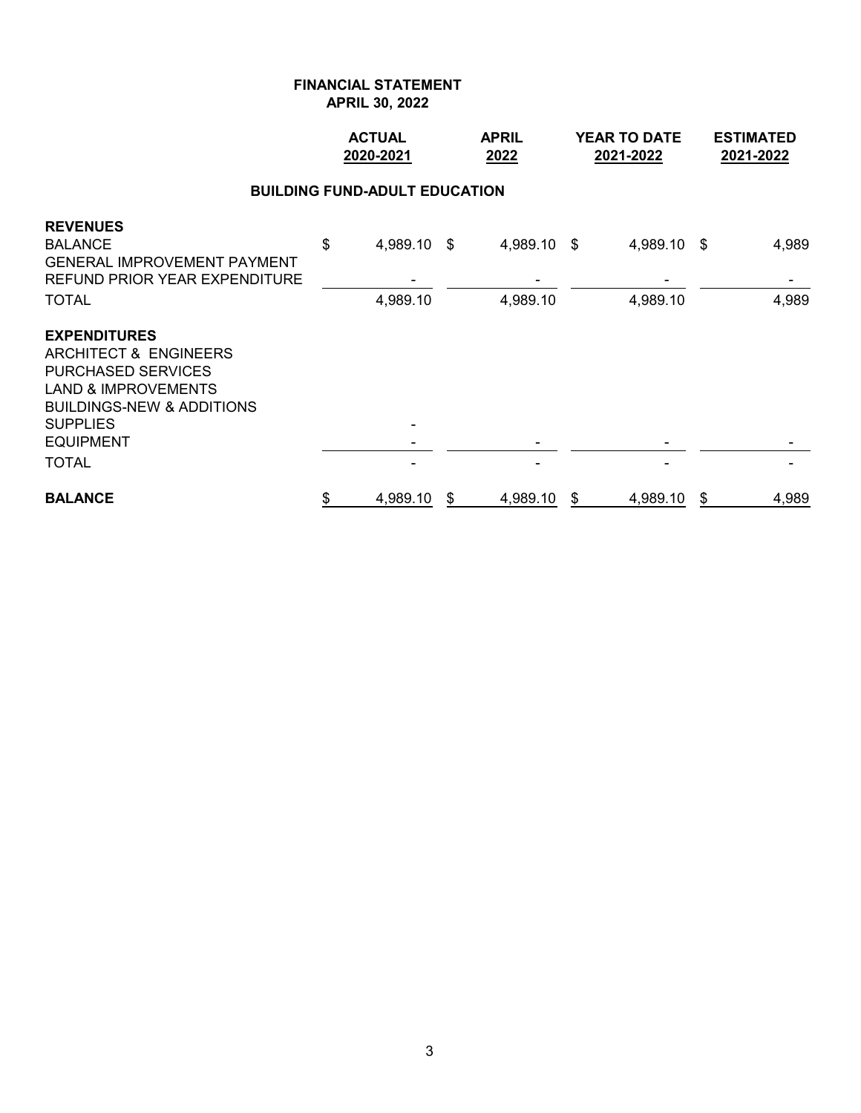# **FINANCIAL STATEMENT**

**APRIL 30, 2022**

|                                                                                                                                                                                                            |    | <b>ACTUAL</b><br>2020-2021 |    | <b>APRIL</b><br>2022 |    | <b>YEAR TO DATE</b><br>2021-2022 |    | <b>ESTIMATED</b><br>2021-2022 |
|------------------------------------------------------------------------------------------------------------------------------------------------------------------------------------------------------------|----|----------------------------|----|----------------------|----|----------------------------------|----|-------------------------------|
| <b>BUILDING FUND-ADULT EDUCATION</b><br>\$<br><b>BALANCE</b><br>4,989.10 \$<br>4,989.10 \$<br>4,989.10 \$                                                                                                  |    |                            |    |                      |    |                                  |    |                               |
| <b>REVENUES</b><br><b>GENERAL IMPROVEMENT PAYMENT</b><br>REFUND PRIOR YEAR EXPENDITURE<br><b>TOTAL</b>                                                                                                     |    | 4,989.10                   |    | 4,989.10             |    | 4,989.10                         |    | 4,989<br>4,989                |
| <b>EXPENDITURES</b><br>ARCHITECT & ENGINEERS<br><b>PURCHASED SERVICES</b><br><b>LAND &amp; IMPROVEMENTS</b><br><b>BUILDINGS-NEW &amp; ADDITIONS</b><br><b>SUPPLIES</b><br><b>EQUIPMENT</b><br><b>TOTAL</b> |    |                            |    |                      |    |                                  |    |                               |
| <b>BALANCE</b>                                                                                                                                                                                             | \$ | 4,989.10                   | \$ | 4,989.10             | \$ | 4,989.10                         | \$ | 4,989                         |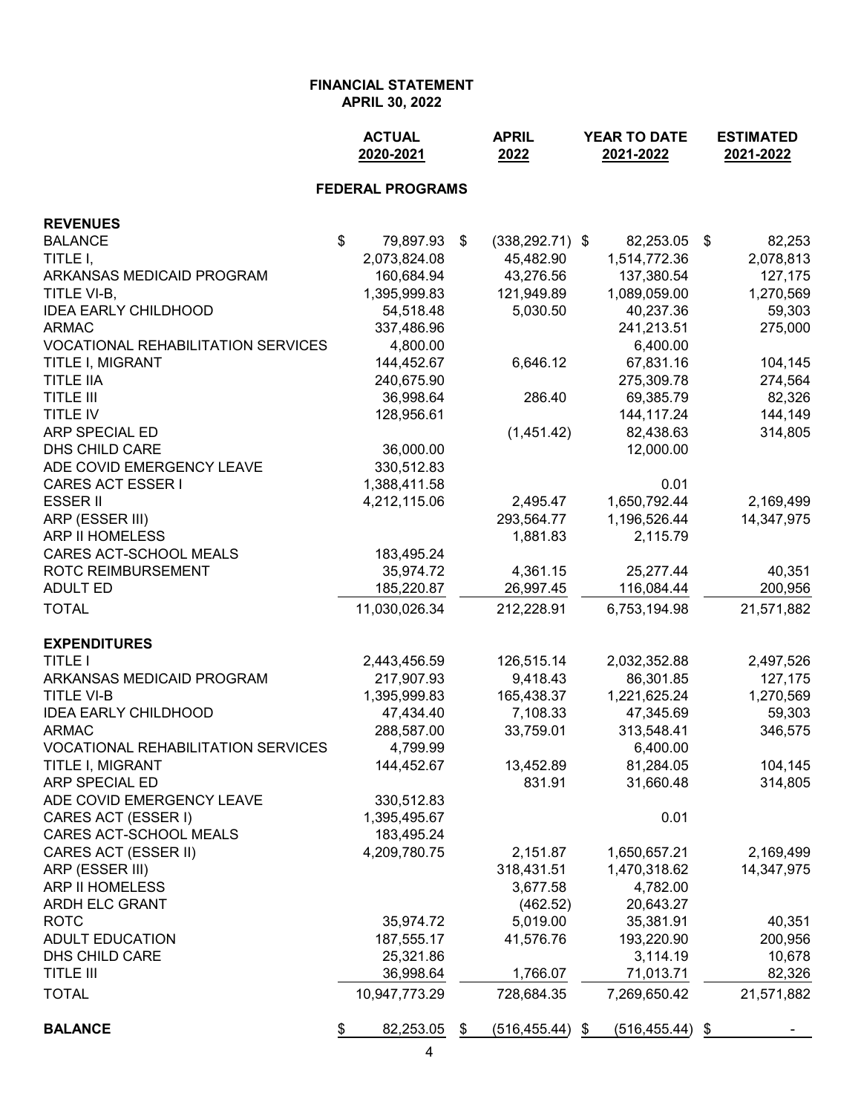|                                           | <b>ACTUAL</b><br>2020-2021 | <b>APRIL</b><br>2022     | YEAR TO DATE<br>2021-2022 | <b>ESTIMATED</b><br>2021-2022 |  |
|-------------------------------------------|----------------------------|--------------------------|---------------------------|-------------------------------|--|
|                                           | <b>FEDERAL PROGRAMS</b>    |                          |                           |                               |  |
| <b>REVENUES</b>                           |                            |                          |                           |                               |  |
| <b>BALANCE</b>                            | \$<br>79,897.93            | \$<br>$(338, 292.71)$ \$ | 82,253.05                 | 82,253<br>\$                  |  |
| TITLE I,                                  | 2,073,824.08               | 45,482.90                | 1,514,772.36              | 2,078,813                     |  |
| ARKANSAS MEDICAID PROGRAM                 | 160,684.94                 | 43,276.56                | 137,380.54                | 127,175                       |  |
| TITLE VI-B,                               | 1,395,999.83               | 121,949.89               | 1,089,059.00              | 1,270,569                     |  |
| <b>IDEA EARLY CHILDHOOD</b>               | 54,518.48                  | 5,030.50                 | 40,237.36                 | 59,303                        |  |
| <b>ARMAC</b>                              | 337,486.96                 |                          | 241,213.51                | 275,000                       |  |
| <b>VOCATIONAL REHABILITATION SERVICES</b> | 4,800.00                   |                          | 6,400.00                  |                               |  |
| TITLE I, MIGRANT                          | 144,452.67                 | 6,646.12                 | 67,831.16                 | 104,145                       |  |
| <b>TITLE IIA</b>                          | 240,675.90                 |                          | 275,309.78                | 274,564                       |  |
| <b>TITLE III</b>                          | 36,998.64                  | 286.40                   | 69,385.79                 | 82,326                        |  |
| TITLE IV                                  | 128,956.61                 |                          | 144,117.24                | 144,149                       |  |
| ARP SPECIAL ED                            |                            | (1,451.42)               | 82,438.63                 | 314,805                       |  |
| DHS CHILD CARE                            | 36,000.00                  |                          | 12,000.00                 |                               |  |
| ADE COVID EMERGENCY LEAVE                 | 330,512.83                 |                          |                           |                               |  |
| <b>CARES ACT ESSER I</b>                  | 1,388,411.58               |                          | 0.01                      |                               |  |
| <b>ESSER II</b>                           | 4,212,115.06               | 2,495.47                 | 1,650,792.44              | 2,169,499                     |  |
| ARP (ESSER III)                           |                            | 293,564.77               | 1,196,526.44              | 14,347,975                    |  |
| ARP II HOMELESS                           |                            | 1,881.83                 | 2,115.79                  |                               |  |
| CARES ACT-SCHOOL MEALS                    | 183,495.24                 |                          |                           |                               |  |
| ROTC REIMBURSEMENT                        | 35,974.72                  | 4,361.15                 | 25,277.44                 | 40,351                        |  |
| <b>ADULT ED</b>                           | 185,220.87                 | 26,997.45                | 116,084.44                | 200,956                       |  |
| <b>TOTAL</b>                              | 11,030,026.34              | 212,228.91               | 6,753,194.98              | 21,571,882                    |  |
| <b>EXPENDITURES</b>                       |                            |                          |                           |                               |  |
| <b>TITLE I</b>                            | 2,443,456.59               | 126,515.14               | 2,032,352.88              | 2,497,526                     |  |
| ARKANSAS MEDICAID PROGRAM                 | 217,907.93                 | 9,418.43                 | 86,301.85                 | 127,175                       |  |
| <b>TITLE VI-B</b>                         | 1,395,999.83               | 165,438.37               | 1,221,625.24              | 1,270,569                     |  |
| <b>IDEA EARLY CHILDHOOD</b>               | 47,434.40                  | 7,108.33                 | 47,345.69                 | 59,303                        |  |
| <b>ARMAC</b>                              | 288,587.00                 | 33,759.01                | 313,548.41                | 346,575                       |  |
| <b>VOCATIONAL REHABILITATION SERVICES</b> | 4,799.99                   |                          | 6,400.00                  |                               |  |
| <b>TITLE I, MIGRANT</b><br>ARP SPECIAL ED | 144,452.67                 | 13,452.89                | 81,284.05                 | 104,145                       |  |
| ADE COVID EMERGENCY LEAVE                 | 330,512.83                 | 831.91                   | 31,660.48                 | 314,805                       |  |
| CARES ACT (ESSER I)                       | 1,395,495.67               |                          | 0.01                      |                               |  |
| CARES ACT-SCHOOL MEALS                    | 183,495.24                 |                          |                           |                               |  |
| CARES ACT (ESSER II)                      | 4,209,780.75               | 2,151.87                 | 1,650,657.21              | 2,169,499                     |  |
| ARP (ESSER III)                           |                            | 318,431.51               | 1,470,318.62              | 14,347,975                    |  |
| ARP II HOMELESS                           |                            | 3,677.58                 | 4,782.00                  |                               |  |
| <b>ARDH ELC GRANT</b>                     |                            | (462.52)                 | 20,643.27                 |                               |  |
| <b>ROTC</b>                               | 35,974.72                  | 5,019.00                 | 35,381.91                 | 40,351                        |  |
| <b>ADULT EDUCATION</b>                    | 187,555.17                 | 41,576.76                | 193,220.90                | 200,956                       |  |
| DHS CHILD CARE                            | 25,321.86                  |                          | 3,114.19                  | 10,678                        |  |
| <b>TITLE III</b>                          | 36,998.64                  | 1,766.07                 | 71,013.71                 | 82,326                        |  |
| <b>TOTAL</b>                              | 10,947,773.29              | 728,684.35               | 7,269,650.42              | 21,571,882                    |  |
| <b>BALANCE</b>                            | 82,253.05<br>\$            | \$<br>$(516, 455.44)$ \$ | $(516, 455.44)$ \$        |                               |  |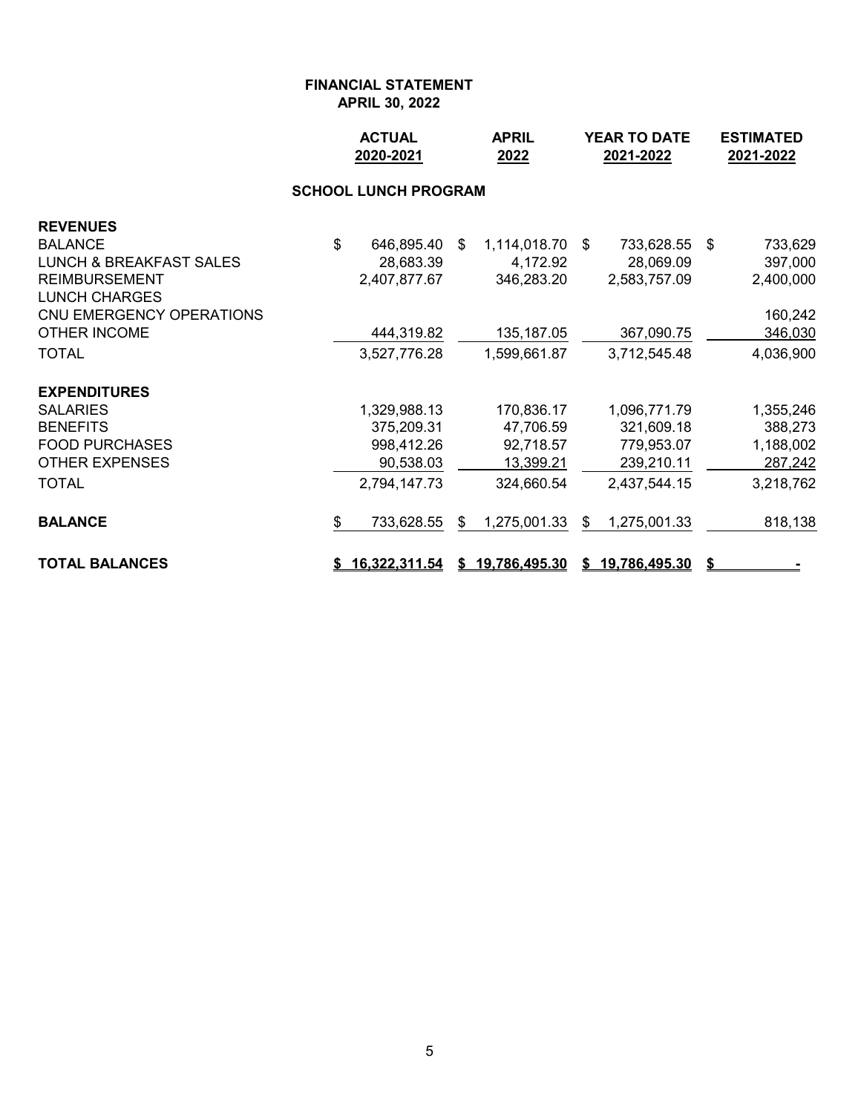|                                                                                                                                                                                            | <b>ACTUAL</b><br>2020-2021 |                                                                       |    | <b>APRIL</b><br>2022                                                  | <b>YEAR TO DATE</b><br>2021-2022 |                                                                       |      | <b>ESTIMATED</b><br>2021-2022                                      |  |
|--------------------------------------------------------------------------------------------------------------------------------------------------------------------------------------------|----------------------------|-----------------------------------------------------------------------|----|-----------------------------------------------------------------------|----------------------------------|-----------------------------------------------------------------------|------|--------------------------------------------------------------------|--|
|                                                                                                                                                                                            |                            | <b>SCHOOL LUNCH PROGRAM</b>                                           |    |                                                                       |                                  |                                                                       |      |                                                                    |  |
| <b>REVENUES</b><br><b>BALANCE</b><br><b>LUNCH &amp; BREAKFAST SALES</b><br><b>REIMBURSEMENT</b><br><b>LUNCH CHARGES</b><br>CNU EMERGENCY OPERATIONS<br><b>OTHER INCOME</b><br><b>TOTAL</b> | $\mathfrak{L}$             | 646,895.40<br>28,683.39<br>2,407,877.67<br>444,319.82<br>3,527,776.28 | \$ | 1,114,018.70<br>4,172.92<br>346,283.20<br>135, 187.05<br>1,599,661.87 | \$                               | 733,628.55<br>28,069.09<br>2,583,757.09<br>367,090.75<br>3,712,545.48 | - \$ | 733,629<br>397,000<br>2,400,000<br>160,242<br>346,030<br>4,036,900 |  |
| <b>EXPENDITURES</b>                                                                                                                                                                        |                            |                                                                       |    |                                                                       |                                  |                                                                       |      |                                                                    |  |
| <b>SALARIES</b>                                                                                                                                                                            |                            | 1,329,988.13                                                          |    | 170,836.17                                                            |                                  | 1,096,771.79                                                          |      | 1,355,246                                                          |  |
| <b>BENEFITS</b><br><b>FOOD PURCHASES</b><br><b>OTHER EXPENSES</b>                                                                                                                          |                            | 375,209.31<br>998,412.26<br>90,538.03                                 |    | 47,706.59<br>92,718.57<br>13,399.21                                   |                                  | 321,609.18<br>779,953.07<br>239,210.11                                |      | 388,273<br>1,188,002<br>287,242                                    |  |
| <b>TOTAL</b>                                                                                                                                                                               |                            | 2,794,147.73                                                          |    | 324,660.54                                                            |                                  | 2,437,544.15                                                          |      | 3,218,762                                                          |  |
| <b>BALANCE</b>                                                                                                                                                                             | \$                         | 733,628.55                                                            | \$ | 1,275,001.33                                                          | \$                               | 1,275,001.33                                                          |      | 818,138                                                            |  |
| <b>TOTAL BALANCES</b>                                                                                                                                                                      |                            | <u>16,322,311.54</u>                                                  | S. | <u>19,786,495.30</u>                                                  | S.                               | <u>19,786,495.30</u>                                                  | S    |                                                                    |  |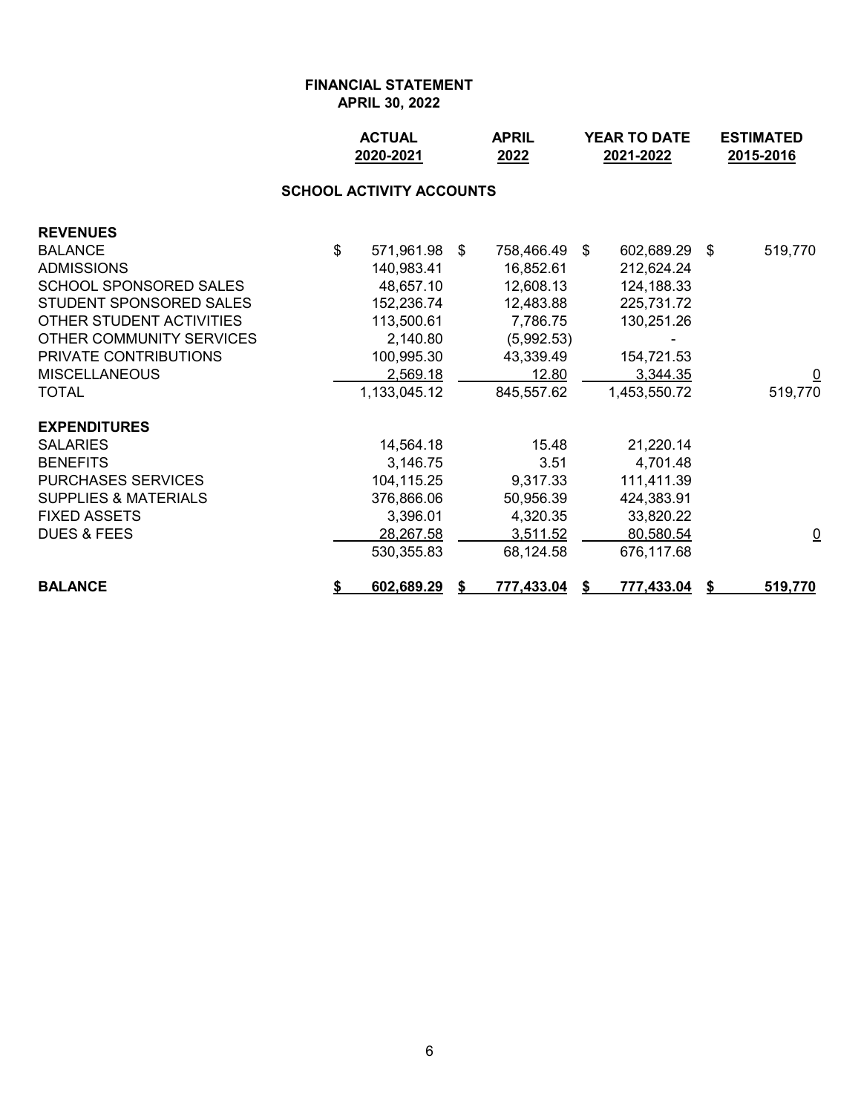|                                 |    | <b>ACTUAL</b><br>2020-2021 |  | <b>APRIL</b><br>2022 | <b>YEAR TO DATE</b><br>2021-2022 | <b>ESTIMATED</b><br>2015-2016 |                         |  |  |  |  |  |  |
|---------------------------------|----|----------------------------|--|----------------------|----------------------------------|-------------------------------|-------------------------|--|--|--|--|--|--|
| <b>SCHOOL ACTIVITY ACCOUNTS</b> |    |                            |  |                      |                                  |                               |                         |  |  |  |  |  |  |
| <b>REVENUES</b>                 |    |                            |  |                      |                                  |                               |                         |  |  |  |  |  |  |
| <b>BALANCE</b>                  | \$ | 571,961.98 \$              |  | 758,466.49           | 602,689.29 \$<br>\$              |                               | 519,770                 |  |  |  |  |  |  |
| <b>ADMISSIONS</b>               |    | 140,983.41                 |  | 16,852.61            | 212,624.24                       |                               |                         |  |  |  |  |  |  |
| <b>SCHOOL SPONSORED SALES</b>   |    | 48,657.10                  |  | 12,608.13            | 124,188.33                       |                               |                         |  |  |  |  |  |  |
| STUDENT SPONSORED SALES         |    | 152,236.74                 |  | 12,483.88            | 225,731.72                       |                               |                         |  |  |  |  |  |  |
| OTHER STUDENT ACTIVITIES        |    | 113,500.61                 |  | 7,786.75             | 130,251.26                       |                               |                         |  |  |  |  |  |  |
| OTHER COMMUNITY SERVICES        |    | 2,140.80                   |  | (5,992.53)           |                                  |                               |                         |  |  |  |  |  |  |
| PRIVATE CONTRIBUTIONS           |    | 100,995.30                 |  | 43,339.49            | 154,721.53                       |                               |                         |  |  |  |  |  |  |
| <b>MISCELLANEOUS</b>            |    | 2,569.18                   |  | 12.80                | 3,344.35                         |                               | $\overline{\mathsf{C}}$ |  |  |  |  |  |  |
| <b>TOTAL</b>                    |    | 1,133,045.12               |  | 845,557.62           | 1,453,550.72                     |                               | 519,770                 |  |  |  |  |  |  |
| <b>EXPENDITURES</b>             |    |                            |  |                      |                                  |                               |                         |  |  |  |  |  |  |
| <b>SALARIES</b>                 |    | 14,564.18                  |  | 15.48                | 21,220.14                        |                               |                         |  |  |  |  |  |  |
| <b>BENEFITS</b>                 |    | 3,146.75                   |  | 3.51                 | 4,701.48                         |                               |                         |  |  |  |  |  |  |
| <b>PURCHASES SERVICES</b>       |    | 104,115.25                 |  | 9,317.33             | 111,411.39                       |                               |                         |  |  |  |  |  |  |
| <b>SUPPLIES &amp; MATERIALS</b> |    | 376,866.06                 |  | 50,956.39            | 424,383.91                       |                               |                         |  |  |  |  |  |  |
| <b>FIXED ASSETS</b>             |    | 3,396.01                   |  | 4,320.35             | 33,820.22                        |                               |                         |  |  |  |  |  |  |
| <b>DUES &amp; FEES</b>          |    | 28,267.58                  |  | 3,511.52             | 80,580.54                        |                               | $\overline{\mathsf{C}}$ |  |  |  |  |  |  |
|                                 |    | 530,355.83                 |  | 68,124.58            | 676,117.68                       |                               |                         |  |  |  |  |  |  |
| <b>BALANCE</b>                  | \$ | 602,689.29                 |  | 777,433.04           | 777,433.04                       |                               | 519,770                 |  |  |  |  |  |  |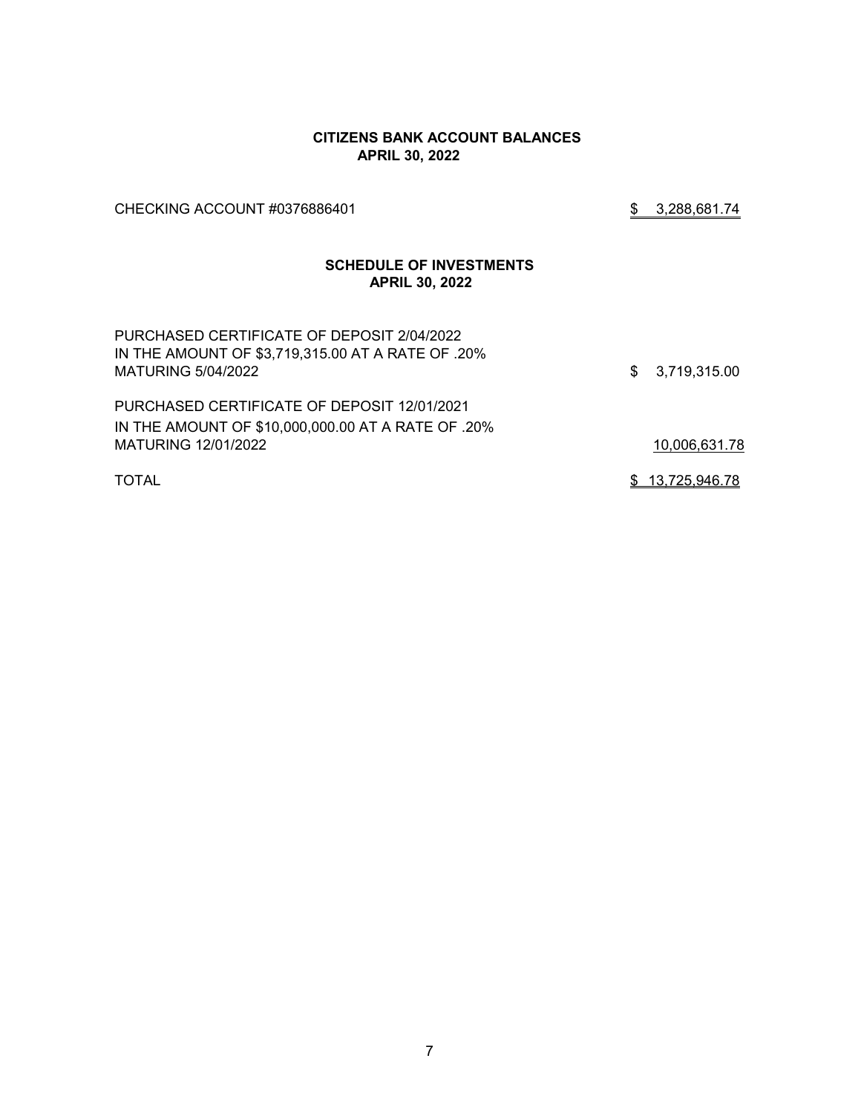#### **CITIZENS BANK ACCOUNT BALANCES APRIL 30, 2022**

CHECKING ACCOUNT #0376886401 \$ 3,288,681.74

### **SCHEDULE OF INVESTMENTS APRIL 30, 2022**

| PURCHASED CERTIFICATE OF DEPOSIT 2/04/2022<br>IN THE AMOUNT OF \$3,719,315.00 AT A RATE OF .20%<br>MATURING 5/04/2022 | \$3,719,315.00  |
|-----------------------------------------------------------------------------------------------------------------------|-----------------|
| PURCHASED CERTIFICATE OF DEPOSIT 12/01/2021                                                                           |                 |
| IN THE AMOUNT OF \$10,000,000.00 AT A RATE OF .20%                                                                    |                 |
| MATURING 12/01/2022                                                                                                   | 10,006,631.78   |
| <b>TOTAL</b>                                                                                                          | \$13,725,946.78 |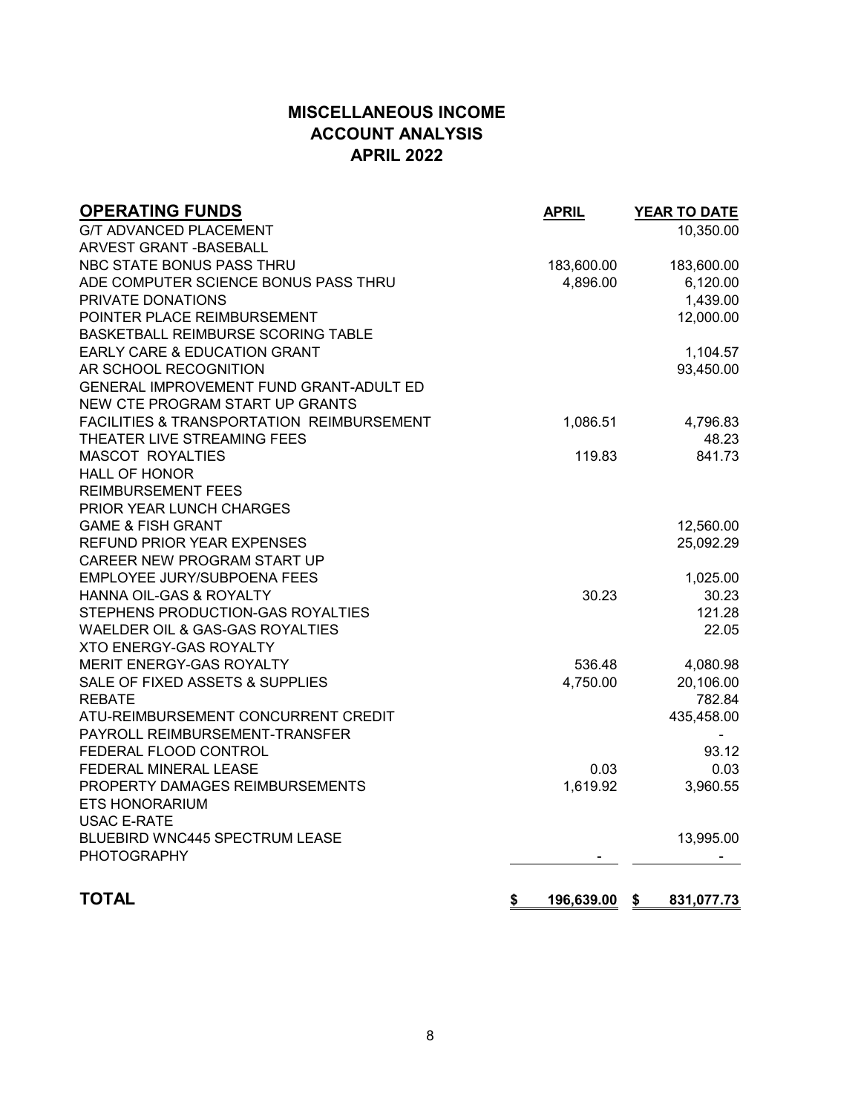## **MISCELLANEOUS INCOME ACCOUNT ANALYSIS APRIL 2022**

| <b>OPERATING FUNDS</b>                               | <b>APRIL</b>     | YEAR TO DATE     |
|------------------------------------------------------|------------------|------------------|
| <b>G/T ADVANCED PLACEMENT</b>                        |                  | 10,350.00        |
| <b>ARVEST GRANT - BASEBALL</b>                       |                  |                  |
| NBC STATE BONUS PASS THRU                            | 183,600.00       | 183,600.00       |
| ADE COMPUTER SCIENCE BONUS PASS THRU                 | 4,896.00         | 6,120.00         |
| PRIVATE DONATIONS                                    |                  | 1,439.00         |
| POINTER PLACE REIMBURSEMENT                          |                  | 12,000.00        |
| <b>BASKETBALL REIMBURSE SCORING TABLE</b>            |                  |                  |
| EARLY CARE & EDUCATION GRANT                         |                  | 1,104.57         |
| AR SCHOOL RECOGNITION                                |                  | 93,450.00        |
| GENERAL IMPROVEMENT FUND GRANT-ADULT ED              |                  |                  |
| NEW CTE PROGRAM START UP GRANTS                      |                  |                  |
| <b>FACILITIES &amp; TRANSPORTATION REIMBURSEMENT</b> | 1,086.51         | 4,796.83         |
| THEATER LIVE STREAMING FEES                          |                  | 48.23            |
| <b>MASCOT ROYALTIES</b>                              | 119.83           | 841.73           |
| <b>HALL OF HONOR</b>                                 |                  |                  |
| <b>REIMBURSEMENT FEES</b>                            |                  |                  |
| PRIOR YEAR LUNCH CHARGES                             |                  |                  |
| <b>GAME &amp; FISH GRANT</b>                         |                  | 12,560.00        |
| <b>REFUND PRIOR YEAR EXPENSES</b>                    |                  | 25,092.29        |
| CAREER NEW PROGRAM START UP                          |                  |                  |
| EMPLOYEE JURY/SUBPOENA FEES                          |                  | 1,025.00         |
| HANNA OIL-GAS & ROYALTY                              | 30.23            | 30.23            |
| STEPHENS PRODUCTION-GAS ROYALTIES                    |                  | 121.28           |
| WAELDER OIL & GAS-GAS ROYALTIES                      |                  | 22.05            |
| <b>XTO ENERGY-GAS ROYALTY</b>                        |                  |                  |
| MERIT ENERGY-GAS ROYALTY                             | 536.48           | 4,080.98         |
| SALE OF FIXED ASSETS & SUPPLIES                      | 4,750.00         | 20,106.00        |
| <b>REBATE</b>                                        |                  | 782.84           |
| ATU-REIMBURSEMENT CONCURRENT CREDIT                  |                  | 435,458.00       |
| PAYROLL REIMBURSEMENT-TRANSFER                       |                  |                  |
| FEDERAL FLOOD CONTROL                                |                  | 93.12            |
| FEDERAL MINERAL LEASE                                | 0.03             | 0.03             |
| PROPERTY DAMAGES REIMBURSEMENTS                      | 1,619.92         | 3,960.55         |
| ETS HONORARIUM                                       |                  |                  |
| <b>USAC E-RATE</b>                                   |                  |                  |
| BLUEBIRD WNC445 SPECTRUM LEASE                       |                  | 13,995.00        |
| <b>PHOTOGRAPHY</b>                                   |                  |                  |
|                                                      |                  |                  |
| <b>TOTAL</b>                                         | \$<br>196,639.00 | \$<br>831,077.73 |